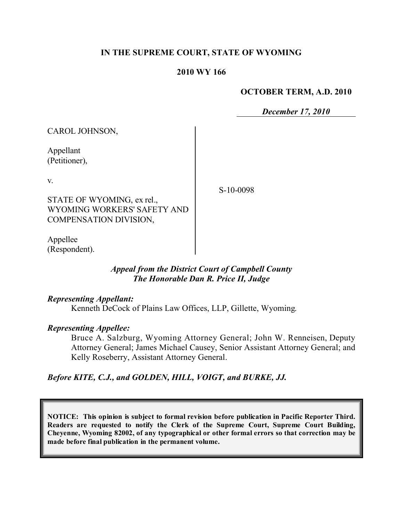# **IN THE SUPREME COURT, STATE OF WYOMING**

#### **2010 WY 166**

#### **OCTOBER TERM, A.D. 2010**

*December 17, 2010*

| CAROL JOHNSON,                                                                            |           |
|-------------------------------------------------------------------------------------------|-----------|
| Appellant<br>(Petitioner),                                                                |           |
| V.<br>STATE OF WYOMING, ex rel.,<br>WYOMING WORKERS' SAFETY AND<br>COMPENSATION DIVISION, | S-10-0098 |
| Appellee                                                                                  |           |

# *Appeal from the District Court of Campbell County The Honorable Dan R. Price II, Judge*

#### *Representing Appellant:*

(Respondent).

Kenneth DeCock of Plains Law Offices, LLP, Gillette, Wyoming.

#### *Representing Appellee:*

Bruce A. Salzburg, Wyoming Attorney General; John W. Renneisen, Deputy Attorney General; James Michael Causey, Senior Assistant Attorney General; and Kelly Roseberry, Assistant Attorney General.

# *Before KITE, C.J., and GOLDEN, HILL, VOIGT, and BURKE, JJ.*

**NOTICE: This opinion is subject to formal revision before publication in Pacific Reporter Third. Readers are requested to notify the Clerk of the Supreme Court, Supreme Court Building, Cheyenne, Wyoming 82002, of any typographical or other formal errors so that correction may be made before final publication in the permanent volume.**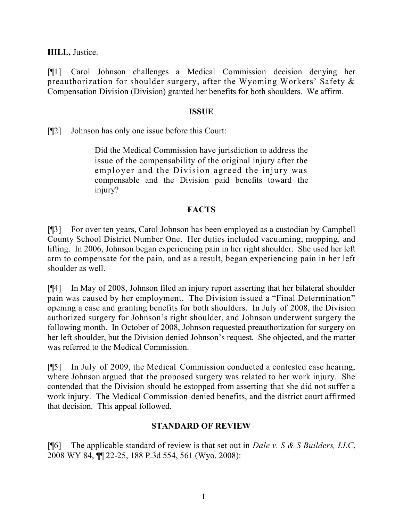**HILL,** Justice.

[¶1] Carol Johnson challenges a Medical Commission decision denying her preauthorization for shoulder surgery, after the Wyoming Workers' Safety & Compensation Division (Division) granted her benefits for both shoulders. We affirm.

#### **ISSUE**

[¶2] Johnson has only one issue before this Court:

Did the Medical Commission have jurisdiction to address the issue of the compensability of the original injury after the employer and the Division agreed the injury was compensable and the Division paid benefits toward the injury?

# **FACTS**

[¶3] For over ten years, Carol Johnson has been employed as a custodian by Campbell County School District Number One. Her duties included vacuuming, mopping, and lifting. In 2006, Johnson began experiencing pain in her right shoulder. She used her left arm to compensate for the pain, and as a result, began experiencing pain in her left shoulder as well.

[¶4] In May of 2008, Johnson filed an injury report asserting that her bilateral shoulder pain was caused by her employment. The Division issued a "Final Determination" opening a case and granting benefits for both shoulders. In July of 2008, the Division authorized surgery for Johnson's right shoulder, and Johnson underwent surgery the following month. In October of 2008, Johnson requested preauthorization for surgery on her left shoulder, but the Division denied Johnson's request. She objected, and the matter was referred to the Medical Commission.

[¶5] In July of 2009, the Medical Commission conducted a contested case hearing, where Johnson argued that the proposed surgery was related to her work injury. She contended that the Division should be estopped from asserting that she did not suffer a work injury. The Medical Commission denied benefits, and the district court affirmed that decision. This appeal followed.

# **STANDARD OF REVIEW**

[¶6] The applicable standard of review is that set out in *Dale v. S & S Builders, LLC*, 2008 WY 84, ¶¶ 22-25, 188 P.3d 554, 561 (Wyo. 2008):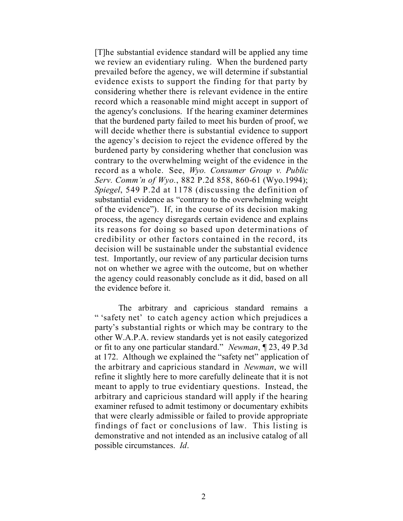[T]he substantial evidence standard will be applied any time we review an evidentiary ruling. When the burdened party prevailed before the agency, we will determine if substantial evidence exists to support the finding for that party by considering whether there is relevant evidence in the entire record which a reasonable mind might accept in support of the agency's conclusions. If the hearing examiner determines that the burdened party failed to meet his burden of proof, we will decide whether there is substantial evidence to support the agency's decision to reject the evidence offered by the burdened party by considering whether that conclusion was contrary to the overwhelming weight of the evidence in the record as a whole. See, *Wyo. Consumer Group v. Public Serv. Comm'n of Wyo.*, 882 P.2d 858, 860-61 (Wyo.1994); *Spiegel*, 549 P.2d at 1178 (discussing the definition of substantial evidence as "contrary to the overwhelming weight of the evidence"). If, in the course of its decision making process, the agency disregards certain evidence and explains its reasons for doing so based upon determinations of credibility or other factors contained in the record, its decision will be sustainable under the substantial evidence test. Importantly, our review of any particular decision turns not on whether we agree with the outcome, but on whether the agency could reasonably conclude as it did, based on all the evidence before it.

The arbitrary and capricious standard remains a " 'safety net' to catch agency action which prejudices a party's substantial rights or which may be contrary to the other W.A.P.A. review standards yet is not easily categorized or fit to any one particular standard." *Newman*, ¶ 23, 49 P.3d at 172. Although we explained the "safety net" application of the arbitrary and capricious standard in *Newman*, we will refine it slightly here to more carefully delineate that it is not meant to apply to true evidentiary questions. Instead, the arbitrary and capricious standard will apply if the hearing examiner refused to admit testimony or documentary exhibits that were clearly admissible or failed to provide appropriate findings of fact or conclusions of law. This listing is demonstrative and not intended as an inclusive catalog of all possible circumstances. *Id*.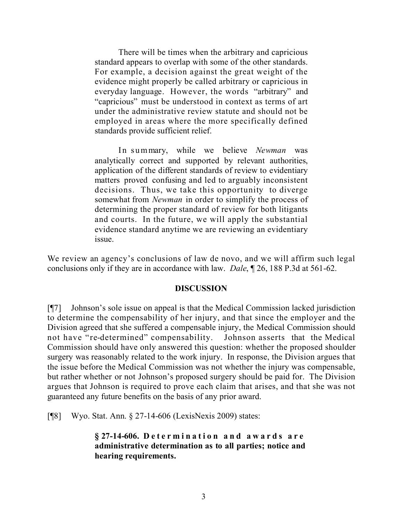There will be times when the arbitrary and capricious standard appears to overlap with some of the other standards. For example, a decision against the great weight of the evidence might properly be called arbitrary or capricious in everyday language. However, the words "arbitrary" and "capricious" must be understood in context as terms of art under the administrative review statute and should not be employed in areas where the more specifically defined standards provide sufficient relief.

In summary, while we believe *Newman* was analytically correct and supported by relevant authorities, application of the different standards of review to evidentiary matters proved confusing and led to arguably inconsistent decisions. Thus, we take this opportunity to diverge somewhat from *Newman* in order to simplify the process of determining the proper standard of review for both litigants and courts. In the future, we will apply the substantial evidence standard anytime we are reviewing an evidentiary issue.

We review an agency's conclusions of law de novo, and we will affirm such legal conclusions only if they are in accordance with law. *Dale*, ¶ 26, 188 P.3d at 561-62.

# **DISCUSSION**

[¶7] Johnson's sole issue on appeal is that the Medical Commission lacked jurisdiction to determine the compensability of her injury, and that since the employer and the Division agreed that she suffered a compensable injury, the Medical Commission should not have "re-determined" compensability. Johnson asserts that the Medical Commission should have only answered this question: whether the proposed shoulder surgery was reasonably related to the work injury. In response, the Division argues that the issue before the Medical Commission was not whether the injury was compensable, but rather whether or not Johnson's proposed surgery should be paid for. The Division argues that Johnson is required to prove each claim that arises, and that she was not guaranteed any future benefits on the basis of any prior award.

[¶8] Wyo. Stat. Ann. § 27-14-606 (LexisNexis 2009) states:

**§ 27-14-606. Determination and awards are administrative determination as to all parties; notice and hearing requirements.**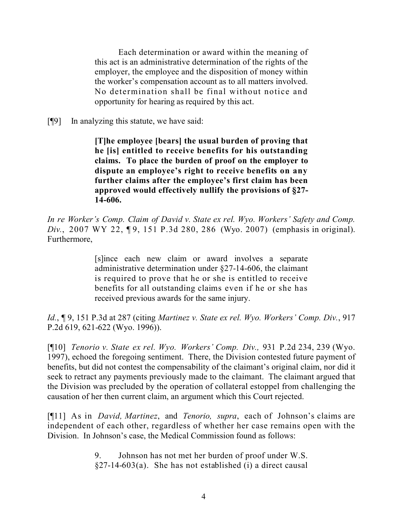Each determination or award within the meaning of this act is an administrative determination of the rights of the employer, the employee and the disposition of money within the worker's compensation account as to all matters involved. No determination shall be final without notice and opportunity for hearing as required by this act.

[¶9] In analyzing this statute, we have said:

**[T]he employee [bears] the usual burden of proving that he [is] entitled to receive benefits for his outstanding claims. To place the burden of proof on the employer to dispute an employee's right to receive benefits on any further claims after the employee's first claim has been approved would effectively nullify the provisions of §27- 14-606.**

*In re Worker's Comp. Claim of David v. State ex rel. Wyo. Workers' Safety and Comp. Div.*, 2007 WY 22, 19, 151 P.3d 280, 286 (Wyo. 2007) (emphasis in original). Furthermore,

> [s]ince each new claim or award involves a separate administrative determination under §27-14-606, the claimant is required to prove that he or she is entitled to receive benefits for all outstanding claims even if he or she has received previous awards for the same injury.

*Id.*, ¶ 9, 151 P.3d at 287 (citing *Martinez v. State ex rel. Wyo. Workers' Comp. Div.*, 917 P.2d 619, 621-622 (Wyo. 1996)).

[¶10] *Tenorio v. State ex rel. Wyo. Workers' Comp. Div.,* 931 P.2d 234, 239 (Wyo. 1997), echoed the foregoing sentiment. There, the Division contested future payment of benefits, but did not contest the compensability of the claimant's original claim, nor did it seek to retract any payments previously made to the claimant. The claimant argued that the Division was precluded by the operation of collateral estoppel from challenging the causation of her then current claim, an argument which this Court rejected.

[¶11] As in *David, Martinez*, and *Tenorio, supra*, each of Johnson's claims are independent of each other, regardless of whether her case remains open with the Division. In Johnson's case, the Medical Commission found as follows:

> 9. Johnson has not met her burden of proof under W.S.  $§27-14-603(a)$ . She has not established (i) a direct causal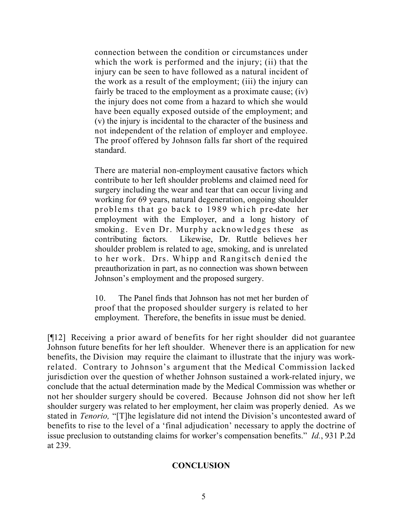connection between the condition or circumstances under which the work is performed and the injury; (ii) that the injury can be seen to have followed as a natural incident of the work as a result of the employment; (iii) the injury can fairly be traced to the employment as a proximate cause; *(iv)* the injury does not come from a hazard to which she would have been equally exposed outside of the employment; and (v) the injury is incidental to the character of the business and not independent of the relation of employer and employee. The proof offered by Johnson falls far short of the required standard.

There are material non-employment causative factors which contribute to her left shoulder problems and claimed need for surgery including the wear and tear that can occur living and working for 69 years, natural degeneration, ongoing shoulder problems that go back to 1989 which pre-date her employment with the Employer, and a long history of smoking. Even Dr. Murphy acknowledges these as contributing factors. Likewise, Dr. Ruttle believes her shoulder problem is related to age, smoking, and is unrelated to her work. Drs. Whipp and Rangitsch denied the preauthorization in part, as no connection was shown between Johnson's employment and the proposed surgery.

10. The Panel finds that Johnson has not met her burden of proof that the proposed shoulder surgery is related to her employment. Therefore, the benefits in issue must be denied.

[¶12] Receiving a prior award of benefits for her right shoulder did not guarantee Johnson future benefits for her left shoulder. Whenever there is an application for new benefits, the Division may require the claimant to illustrate that the injury was workrelated. Contrary to Johnson's argument that the Medical Commission lacked jurisdiction over the question of whether Johnson sustained a work-related injury, we conclude that the actual determination made by the Medical Commission was whether or not her shoulder surgery should be covered. Because Johnson did not show her left shoulder surgery was related to her employment, her claim was properly denied. As we stated in *Tenorio,* "[T]he legislature did not intend the Division's uncontested award of benefits to rise to the level of a 'final adjudication' necessary to apply the doctrine of issue preclusion to outstanding claims for worker's compensation benefits." *Id.*, 931 P.2d at 239.

# **CONCLUSION**